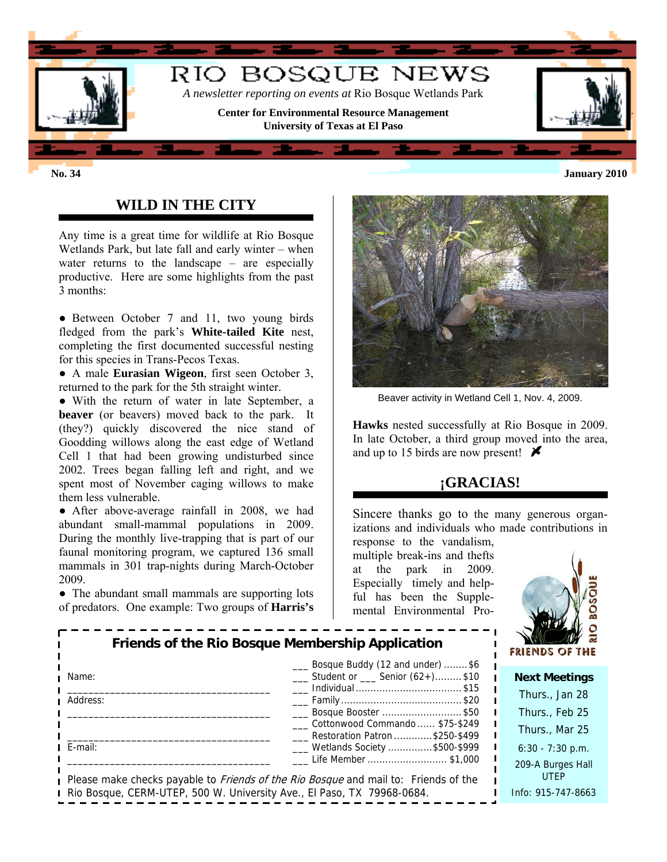

## **WILD IN THE CITY**

Any time is a great time for wildlife at Rio Bosque Wetlands Park, but late fall and early winter – when water returns to the landscape – are especially productive. Here are some highlights from the past 3 months:

• Between October 7 and 11, two young birds fledged from the park's **White-tailed Kite** nest, completing the first documented successful nesting for this species in Trans-Pecos Texas.

● A male **Eurasian Wigeon**, first seen October 3, returned to the park for the 5th straight winter.

● With the return of water in late September, a **beaver** (or beavers) moved back to the park. It (they?) quickly discovered the nice stand of Goodding willows along the east edge of Wetland Cell 1 that had been growing undisturbed since 2002. Trees began falling left and right, and we spent most of November caging willows to make them less vulnerable.

• After above-average rainfall in 2008, we had abundant small-mammal populations in 2009. During the monthly live-trapping that is part of our faunal monitoring program, we captured 136 small mammals in 301 trap-nights during March-October 2009.

• The abundant small mammals are supporting lots of predators. One example: Two groups of **Harris's** 



Beaver activity in Wetland Cell 1, Nov. 4, 2009.

**Hawks** nested successfully at Rio Bosque in 2009. In late October, a third group moved into the area, and up to 15 birds are now present!  $\blacktriangleright$ 

# **¡GRACIAS!**

Sincere thanks go to the many generous organizations and individuals who made contributions in

response to the vandalism, multiple break-ins and thefts at the park in 2009. Especially timely and helpful has been the Supplemental Environmental Pro-



| Friends of the Rio Bosque Membership Application |                                                                                                                   | <b>FRIENDS O</b>          |
|--------------------------------------------------|-------------------------------------------------------------------------------------------------------------------|---------------------------|
| Name:                                            | Bosque Buddy (12 and under) \$6<br>___ Student or ___ Senior (62+)\$10                                            | <b>Next Mee</b>           |
| Address:                                         |                                                                                                                   | Thurs., Ja                |
|                                                  | Bosque Booster \$50                                                                                               | Thurs., $F_6$             |
|                                                  | Cottonwood Commando  \$75-\$249<br>Restoration Patron \$250-\$499                                                 | Thurs., M                 |
| $E$ -mail:                                       | ___ Wetlands Society \$500-\$999                                                                                  | $6:30 - 7:30$             |
|                                                  | Life Member \$1,000<br>Please make checks payable to <i>Friends of the Rio Bosque</i> and mail to: Friends of the | 209-A Burg<br><b>UTEP</b> |
|                                                  | Rio Bosque, CERM-UTEP, 500 W. University Ave., El Paso, TX 79968-0684.                                            | Info: 915-74              |

**ktings** 

| Thurs., Jan 28                   |
|----------------------------------|
| Thurs., Feb 25                   |
| Thurs., Mar 25                   |
| $6:30 - 7:30$ p.m.               |
| 209-A Burges Hall<br><b>UTFP</b> |
| Info: 915-747-8663               |